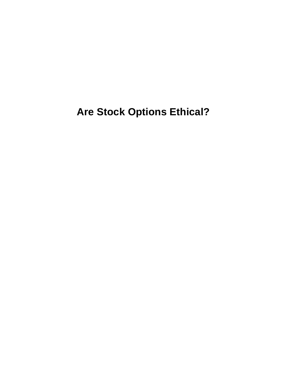**Are Stock Options Ethical?**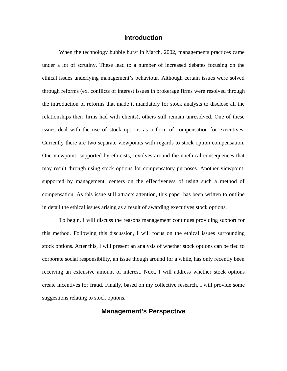## **Introduction**

 When the technology bubble burst in March, 2002, managements practices came under a lot of scrutiny. These lead to a number of increased debates focusing on the ethical issues underlying management's behaviour. Although certain issues were solved through reforms (ex. conflicts of interest issues in brokerage firms were resolved through the introduction of reforms that made it mandatory for stock analysts to disclose all the relationships their firms had with clients), others still remain unresolved. One of these issues deal with the use of stock options as a form of compensation for executives. Currently there are two separate viewpoints with regards to stock option compensation. One viewpoint, supported by ethicists, revolves around the unethical consequences that may result through using stock options for compensatory purposes. Another viewpoint, supported by management, centers on the effectiveness of using such a method of compensation. As this issue still attracts attention, this paper has been written to outline in detail the ethical issues arising as a result of awarding executives stock options.

To begin, I will discuss the reasons management continues providing support for this method. Following this discussion, I will focus on the ethical issues surrounding stock options. After this, I will present an analysis of whether stock options can be tied to corporate social responsibility, an issue though around for a while, has only recently been receiving an extensive amount of interest. Next, I will address whether stock options create incentives for fraud. Finally, based on my collective research, I will provide some suggestions relating to stock options.

## **Management's Perspective**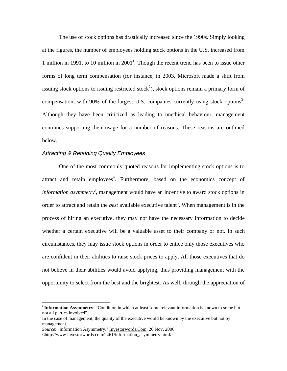The use of stock options has drastically increased since the 1990s. Simply looking at the figures, the number of employees holding stock options in the U.S. increased from 1 million in 1991, to 10 million in  $2001<sup>1</sup>$ . Though the recent trend has been to issue other forms of long term compensation (for instance, in 2003, Microsoft made a shift from issuing stock options to issuing restricted stock<sup>2</sup>), stock options remain a primary form of compensation, with 90% of the largest U.S. companies currently using stock options<sup>3</sup>. Although they have been criticized as leading to unethical behaviour, management continues supporting their usage for a number of reasons. These reasons are outlined below.

## *Attracting & Retaining Quality Employees*

 One of the most commonly quoted reasons for implementing stock options is to attract and retain employees<sup>4</sup>. Furthermore, based on the economics concept of *information asymmetry<sup>i</sup>* , management would have an incentive to award stock options in order to attract and retain the *best* available executive talent<sup>5</sup>. When management is in the process of hiring an executive, they may not have the necessary information to decide whether a certain executive will be a valuable asset to their company or not. In such circumstances, they may issue stock options in order to entice only those executives who are confident in their abilities to raise stock prices to apply. All those executives that do not believe in their abilities would avoid applying, thus providing management with the opportunity to select from the best and the brightest. As well, through the appreciation of

 $\overline{a}$ 

<sup>&</sup>lt;sup>i</sup> Information Asymmetry: "Condition in which at least some relevant information is known to some but not all parties involved".

In the case of management, the quality of the executive would be known by the executive but not by management.

*Source*: "Information Asymmetry." Investorwords.Com. 26 Nov. 2006

<sup>&</sup>lt;http://www.investorwords.com/2461/information\_asymmetry.html>.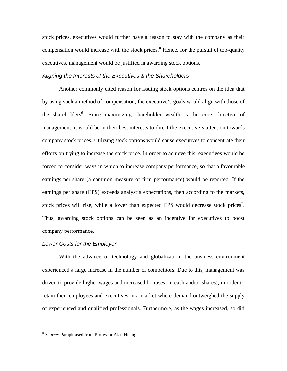stock prices, executives would further have a reason to stay with the company as their compensation would increase with the stock prices.<sup>ii</sup> Hence, for the pursuit of top-quality executives, management would be justified in awarding stock options.

### *Aligning the Interests of the Executives & the Shareholders*

 Another commonly cited reason for issuing stock options centres on the idea that by using such a method of compensation, the executive's goals would align with those of the shareholders<sup>6</sup>. Since maximizing shareholder wealth is the core objective of management, it would be in their best interests to direct the executive's attention towards company stock prices. Utilizing stock options would cause executives to concentrate their efforts on trying to increase the stock price. In order to achieve this, executives would be forced to consider ways in which to increase company performance, so that a favourable earnings per share (a common measure of firm performance) would be reported. If the earnings per share (EPS) exceeds analyst's expectations, then according to the markets, stock prices will rise, while a lower than expected EPS would decrease stock prices<sup>7</sup>. Thus, awarding stock options can be seen as an incentive for executives to boost company performance.

#### *Lower Costs for the Employer*

 With the advance of technology and globalization, the business environment experienced a large increase in the number of competitors. Due to this, management was driven to provide higher wages and increased bonuses (in cash and/or shares), in order to retain their employees and executives in a market where demand outweighed the supply of experienced and qualified professionals. Furthermore, as the wages increased, so did

1

ii *Source*: Paraphrased from Professor Alan Huang.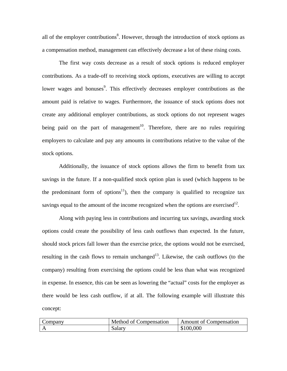all of the employer contributions $<sup>8</sup>$ . However, through the introduction of stock options as</sup> a compensation method, management can effectively decrease a lot of these rising costs.

 The first way costs decrease as a result of stock options is reduced employer contributions. As a trade-off to receiving stock options, executives are willing to accept lower wages and bonuses<sup>9</sup>. This effectively decreases employer contributions as the amount paid is relative to wages. Furthermore, the issuance of stock options does not create any additional employer contributions, as stock options do not represent wages being paid on the part of management<sup>10</sup>. Therefore, there are no rules requiring employers to calculate and pay any amounts in contributions relative to the value of the stock options.

 Additionally, the issuance of stock options allows the firm to benefit from tax savings in the future. If a non-qualified stock option plan is used (which happens to be the predominant form of options<sup>11</sup>), then the company is qualified to recognize tax savings equal to the amount of the income recognized when the options are exercised<sup>12</sup>.

 Along with paying less in contributions and incurring tax savings, awarding stock options could create the possibility of less cash outflows than expected. In the future, should stock prices fall lower than the exercise price, the options would not be exercised, resulting in the cash flows to remain unchanged<sup>13</sup>. Likewise, the cash outflows (to the company) resulting from exercising the options could be less than what was recognized in expense. In essence, this can be seen as lowering the "actual" costs for the employer as there would be less cash outflow, if at all. The following example will illustrate this concept:

| $\mathcal{L}$ ompany | Method of Compensation | <b>Amount of Compensation</b> |  |  |
|----------------------|------------------------|-------------------------------|--|--|
|                      | Salary                 | \$100,000                     |  |  |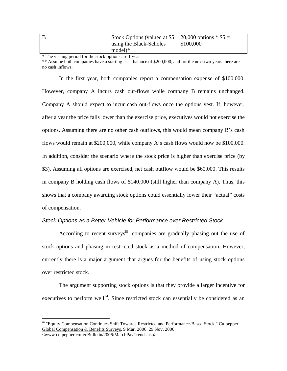| Stock Options (valued at \$5   20,000 options $*$ \$5 = |                  |
|---------------------------------------------------------|------------------|
| using the Black-Scholes                                 | $\mid$ \$100,000 |
| $model)*$                                               |                  |

\* The vesting period for the stock options are 1 year

\*\* Assume both companies have a starting cash balance of \$200,000, and for the next two years there are no cash inflows.

 In the first year, both companies report a compensation expense of \$100,000. However, company A incurs cash out-flows while company B remains unchanged. Company A should expect to incur cash out-flows once the options vest. If, however, after a year the price falls lower than the exercise price, executives would not exercise the options. Assuming there are no other cash outflows, this would mean company B's cash flows would remain at \$200,000, while company A's cash flows would now be \$100,000. In addition, consider the scenario where the stock price is higher than exercise price (by \$3). Assuming all options are exercised, net cash outflow would be \$60,000. This results in company B holding cash flows of \$140,000 (still higher than company A). Thus, this shows that a company awarding stock options could essentially lower their "actual" costs of compensation.

#### *Stock Options as a Better Vehicle for Performance over Restricted Stock*

According to recent surveys<sup>iii</sup>, companies are gradually phasing out the use of stock options and phasing in restricted stock as a method of compensation. However, currently there is a major argument that argues for the benefits of using stock options over restricted stock.

 The argument supporting stock options is that they provide a larger incentive for executives to perform well<sup>14</sup>. Since restricted stock can essentially be considered as an

 $\overline{a}$ 

iii "Equity Compensation Continues Shift Towards Restricted and Performance-Based Stock." Culpepper: Global Compensation & Benefits Surveys. 9 Mar. 2006. 29 Nov. 2006 <www.culpepper.com/eBulletin/2006/MarchPayTrends.asp>.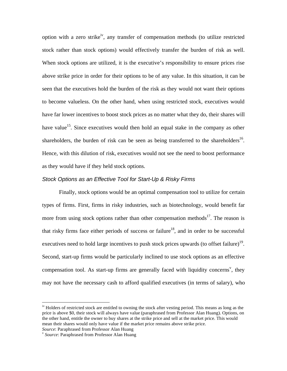option with a zero strike<sup>iv</sup>, any transfer of compensation methods (to utilize restricted stock rather than stock options) would effectively transfer the burden of risk as well. When stock options are utilized, it is the executive's responsibility to ensure prices rise above strike price in order for their options to be of any value. In this situation, it can be seen that the executives hold the burden of the risk as they would not want their options to become valueless. On the other hand, when using restricted stock, executives would have far lower incentives to boost stock prices as no matter what they do, their shares will have value<sup>15</sup>. Since executives would then hold an equal stake in the company as other shareholders, the burden of risk can be seen as being transferred to the shareholders<sup>16</sup>. Hence, with this dilution of risk, executives would not see the need to boost performance as they would have if they held stock options.

#### *Stock Options as an Effective Tool for Start-Up & Risky Firms*

 Finally, stock options would be an optimal compensation tool to utilize for certain types of firms. First, firms in risky industries, such as biotechnology, would benefit far more from using stock options rather than other compensation methods<sup>17</sup>. The reason is that risky firms face either periods of success or failure<sup>18</sup>, and in order to be successful executives need to hold large incentives to push stock prices upwards (to offset failure)<sup>19</sup>. Second, start-up firms would be particularly inclined to use stock options as an effective compensation tool. As start-up firms are generally faced with liquidity concerns<sup>v</sup>, they may not have the necessary cash to afford qualified executives (in terms of salary), who

 $\overline{a}$ 

<sup>&</sup>lt;sup>iv</sup> Holders of restricted stock are entitled to owning the stock after vesting period. This means as long as the price is above \$0, their stock will always have value (paraphrased from Professor Alan Huang). Options, on the other hand, entitle the owner to buy shares at the strike price and sell at the market price. This would mean their shares would only have value if the market price remains above strike price.

*Source*: Paraphrased from Professor Alan Huang<br><sup>v</sup> *Source*: Paraphrased from Professor Alan Huang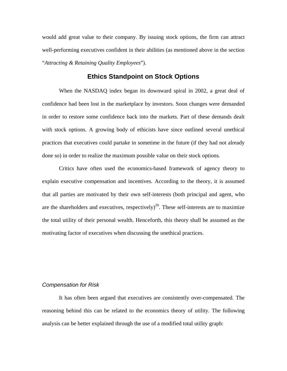would add great value to their company. By issuing stock options, the firm can attract well-performing executives confident in their abilities (as mentioned above in the section "*Attracting & Retaining Quality Employees*").

# **Ethics Standpoint on Stock Options**

 When the NASDAQ index began its downward spiral in 2002, a great deal of confidence had been lost in the marketplace by investors. Soon changes were demanded in order to restore some confidence back into the markets. Part of these demands dealt with stock options. A growing body of ethicists have since outlined several unethical practices that executives could partake in sometime in the future (if they had not already done so) in order to realize the maximum possible value on their stock options.

 Critics have often used the economics-based framework of agency theory to explain executive compensation and incentives. According to the theory, it is assumed that all parties are motivated by their own self-interests (both principal and agent, who are the shareholders and executives, respectively)<sup>20</sup>. These self-interests are to maximize the total utility of their personal wealth. Henceforth, this theory shall be assumed as the motivating factor of executives when discussing the unethical practices.

### *Compensation for Risk*

 It has often been argued that executives are consistently over-compensated. The reasoning behind this can be related to the economics theory of utility. The following analysis can be better explained through the use of a modified total utility graph: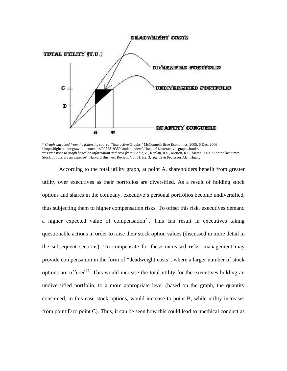

<sup>\*</sup> *Graph extracted from the following source*: "Interactive Graphs." McConnell: Brue Economics. 2005. 6 Dec. 2006 <http://highered.mcgraw-hill.com/sites/0072819359/student\_view0/chapter21/interactive\_graphs.html>. \*\* *Extensions to graph based on information gathered from*: Bodie, Z., Kaplan, R.S., Merton, R.C. March 2003. "For the last time: Stock options are an expense". Harvard Business Review. Vol.81, Iss. 3; pg. 62 & Professor Alan Huang.

According to the total utility graph, at point A, shareholders benefit from greater utility over executives as their portfolios are diversified. As a result of holding stock options and shares in the company, executive's personal portfolios become undiversified, thus subjecting them to higher compensation risks. To offset this risk, executives demand a higher expected value of compensation<sup>21</sup>. This can result in executives taking questionable actions in order to raise their stock option values (discussed in more detail in the subsequent sections). To compensate for these increased risks, management may provide compensation in the form of "deadweight costs", where a larger number of stock options are offered<sup>22</sup>. This would increase the total utility for the executives holding an undiversified portfolio, to a more appropriate level (based on the graph, the quantity consumed, in this case stock options, would increase to point B, while utility increases from point D to point C). Thus, it can be seen how this could lead to unethical conduct as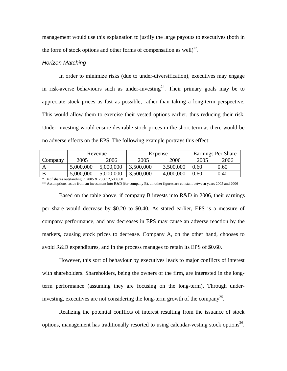management would use this explanation to justify the large payouts to executives (both in the form of stock options and other forms of compensation as well)<sup>23</sup>.

### *Horizon Matching*

 In order to minimize risks (due to under-diversification), executives may engage in risk-averse behaviours such as under-investing  $2^4$ . Their primary goals may be to appreciate stock prices as fast as possible, rather than taking a long-term perspective. This would allow them to exercise their vested options earlier, thus reducing their risk. Under-investing would ensure desirable stock prices in the short term as there would be no adverse effects on the EPS. The following example portrays this effect:

|         | Revenue   |           | Expense   |           | Earnings Per Share |      |
|---------|-----------|-----------|-----------|-----------|--------------------|------|
| Company | 2005      | 2006      | 2005      | 2006      | 2005               | 2006 |
|         | 5,000,000 | 5,000,000 | 3,500,000 | 3,500,000 | 9.60.              | 0.60 |
|         | 5,000,000 | 5,000,000 | 3,500,000 | 4,000,000 | 0.60               | 0.40 |

\* # of shares outstanding in 2005 & 2006: 2,500,000

\*\* Assumptions: aside from an investment into R&D (for company B), all other figures are constant between years 2005 and 2006

 Based on the table above, if company B invests into R&D in 2006, their earnings per share would decrease by \$0.20 to \$0.40. As stated earlier, EPS is a measure of company performance, and any decreases in EPS may cause an adverse reaction by the markets, causing stock prices to decrease. Company A, on the other hand, chooses to avoid R&D expenditures, and in the process manages to retain its EPS of \$0.60.

 However, this sort of behaviour by executives leads to major conflicts of interest with shareholders. Shareholders, being the owners of the firm, are interested in the longterm performance (assuming they are focusing on the long-term). Through underinvesting, executives are not considering the long-term growth of the company<sup>25</sup>.

 Realizing the potential conflicts of interest resulting from the issuance of stock options, management has traditionally resorted to using calendar-vesting stock options<sup>26</sup>.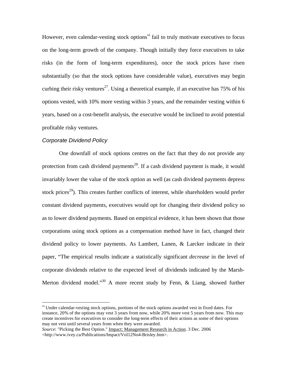However, even calendar-vesting stock options<sup>vi</sup> fail to truly motivate executives to focus on the long-term growth of the company. Though initially they force executives to take risks (in the form of long-term expenditures), once the stock prices have risen substantially (so that the stock options have considerable value), executives may begin curbing their risky ventures<sup>27</sup>. Using a theoretical example, if an executive has 75% of his options vested, with 10% more vesting within 3 years, and the remainder vesting within 6 years, based on a cost-benefit analysis, the executive would be inclined to avoid potential profitable risky ventures.

#### *Corporate Dividend Policy*

 $\overline{a}$ 

 One downfall of stock options centres on the fact that they do not provide any protection from cash dividend payments<sup>28</sup>. If a cash dividend payment is made, it would invariably lower the value of the stock option as well (as cash dividend payments depress stock prices<sup>29</sup>). This creates further conflicts of interest, while shareholders would prefer constant dividend payments, executives would opt for changing their dividend policy so as to lower dividend payments. Based on empirical evidence, it has been shown that those corporations using stock options as a compensation method have in fact, changed their dividend policy to lower payments. As Lambert, Lanen, & Larcker indicate in their paper, "The empirical results indicate a statistically significant *decrease* in the level of corporate dividends relative to the expected level of dividends indicated by the Marsh-Merton dividend model."<sup>30</sup> A more recent study by Fenn,  $\&$  Liang, showed further

<sup>&</sup>lt;sup>vi</sup> Under calendar-vesting stock options, portions of the stock options awarded vest in fixed dates. For instance, 20% of the options may vest 3 years from now, while 20% more vest 5 years from now. This may create incentives for executives to consider the long-term effects of their actions as some of their options may not vest until several years from when they were awarded.

*Source*: "Picking the Best Option." Impact: Management Research in Action. 3 Dec. 2006 <http://www.ivey.ca/Publications/Impact/Vol12No4-Brisley.htm>.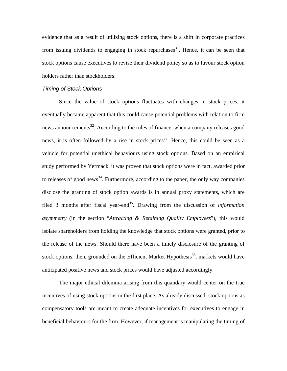evidence that as a result of utilizing stock options, there is a shift in corporate practices from issuing dividends to engaging in stock repurchases<sup>31</sup>. Hence, it can be seen that stock options cause executives to revise their dividend policy so as to favour stock option holders rather than stockholders.

#### *Timing of Stock Options*

 Since the value of stock options fluctuates with changes in stock prices, it eventually became apparent that this could cause potential problems with relation to firm news announcements<sup>32</sup>. According to the rules of finance, when a company releases good news, it is often followed by a rise in stock prices<sup>33</sup>. Hence, this could be seen as a vehicle for potential unethical behaviours using stock options. Based on an empirical study performed by Yermack, it was proven that stock options were in fact, awarded prior to releases of good news<sup>34</sup>. Furthermore, according to the paper, the only way companies disclose the granting of stock option awards is in annual proxy statements, which are filed 3 months after fiscal year-end<sup>35</sup>. Drawing from the discussion of *information asymmetry* (in the section "*Attracting & Retaining Quality Employees*"), this would isolate shareholders from holding the knowledge that stock options were granted, prior to the release of the news. Should there have been a timely disclosure of the granting of stock options, then, grounded on the Efficient Market Hypothesis<sup>36</sup>, markets would have anticipated positive news and stock prices would have adjusted accordingly.

 The major ethical dilemma arising from this quandary would center on the true incentives of using stock options in the first place. As already discussed, stock options as compensatory tools are meant to create adequate incentives for executives to engage in beneficial behaviours for the firm. However, if management is manipulating the timing of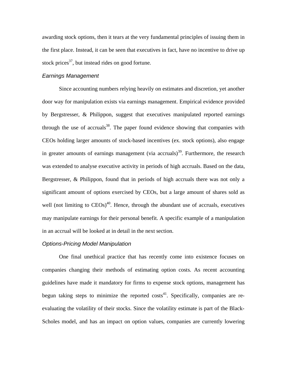awarding stock options, then it tears at the very fundamental principles of issuing them in the first place. Instead, it can be seen that executives in fact, have no incentive to drive up stock prices $^{37}$ , but instead rides on good fortune.

#### *Earnings Management*

 Since accounting numbers relying heavily on estimates and discretion, yet another door way for manipulation exists via earnings management. Empirical evidence provided by Bergstresser, & Philippon, suggest that executives manipulated reported earnings through the use of accruals<sup>38</sup>. The paper found evidence showing that companies with CEOs holding larger amounts of stock-based incentives (ex. stock options), also engage in greater amounts of earnings management (via accruals)<sup>39</sup>. Furthermore, the research was extended to analyse executive activity in periods of high accruals. Based on the data, Bergstresser, & Philippon, found that in periods of high accruals there was not only a significant amount of options exercised by CEOs, but a large amount of shares sold as well (not limiting to  $CEOs$ )<sup>40</sup>. Hence, through the abundant use of accruals, executives may manipulate earnings for their personal benefit. A specific example of a manipulation in an accrual will be looked at in detail in the next section.

### *Options-Pricing Model Manipulation*

 One final unethical practice that has recently come into existence focuses on companies changing their methods of estimating option costs. As recent accounting guidelines have made it mandatory for firms to expense stock options, management has begun taking steps to minimize the reported  $costs<sup>4</sup>$ . Specifically, companies are reevaluating the volatility of their stocks. Since the volatility estimate is part of the Black-Scholes model, and has an impact on option values, companies are currently lowering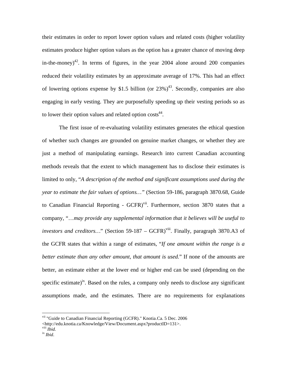their estimates in order to report lower option values and related costs (higher volatility estimates produce higher option values as the option has a greater chance of moving deep in-the-money)<sup>42</sup>. In terms of figures, in the year 2004 alone around 200 companies reduced their volatility estimates by an approximate average of 17%. This had an effect of lowering options expense by \$1.5 billion (or  $23\%$ )<sup>43</sup>. Secondly, companies are also engaging in early vesting. They are purposefully speeding up their vesting periods so as to lower their option values and related option  $cost^4$ .

 The first issue of re-evaluating volatility estimates generates the ethical question of whether such changes are grounded on genuine market changes, or whether they are just a method of manipulating earnings. Research into current Canadian accounting methods reveals that the extent to which management has to disclose their estimates is limited to only, "*A description of the method and significant assumptions used during the year to estimate the fair values of options…"* (Section 59-186, paragraph 3870.68, Guide to Canadian Financial Reporting - GCFR)<sup>vii</sup>. Furthermore, section 3870 states that a company, "…*may provide any supplemental information that it believes will be useful to investors and creditors...*" (Section 59-187 – GCFR)<sup>viii</sup>. Finally, paragraph 3870.A3 of the GCFR states that within a range of estimates, "*If one amount within the range is a better estimate than any other amount, that amount is used.*" If none of the amounts are better, an estimate either at the lower end or higher end can be used (depending on the specific estimate)<sup>ix</sup>. Based on the rules, a company only needs to disclose any significant assumptions made, and the estimates. There are no requirements for explanations

<u>.</u>

vii "Guide to Canadian Financial Reporting (GCFR)." Knotia.Ca. 5 Dec. 2006

<sup>&</sup>lt;http://edu.knotia.ca/Knowledge/View/Document.aspx?productID=131>.

viii *Ibid.* ix *Ibid*.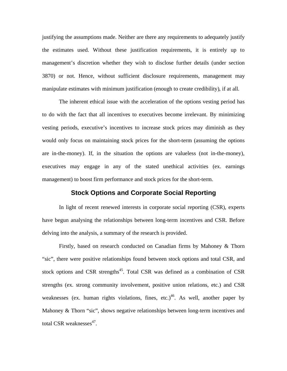justifying the assumptions made. Neither are there any requirements to adequately justify the estimates used. Without these justification requirements, it is entirely up to management's discretion whether they wish to disclose further details (under section 3870) or not. Hence, without sufficient disclosure requirements, management may manipulate estimates with minimum justification (enough to create credibility), if at all.

 The inherent ethical issue with the acceleration of the options vesting period has to do with the fact that all incentives to executives become irrelevant. By minimizing vesting periods, executive's incentives to increase stock prices may diminish as they would only focus on maintaining stock prices for the short-term (assuming the options are in-the-money). If, in the situation the options are valueless (not in-the-money), executives may engage in any of the stated unethical activities (ex. earnings management) to boost firm performance and stock prices for the short-term.

# **Stock Options and Corporate Social Reporting**

 In light of recent renewed interests in corporate social reporting (CSR), experts have begun analysing the relationships between long-term incentives and CSR. Before delving into the analysis, a summary of the research is provided.

 Firstly, based on research conducted on Canadian firms by Mahoney & Thorn "sic", there were positive relationships found between stock options and total CSR, and stock options and CSR strengths<sup>45</sup>. Total CSR was defined as a combination of CSR strengths (ex. strong community involvement, positive union relations, etc.) and CSR weaknesses (ex. human rights violations, fines, etc.)<sup>46</sup>. As well, another paper by Mahoney & Thorn "sic", shows negative relationships between long-term incentives and total CSR weaknesses $47$ .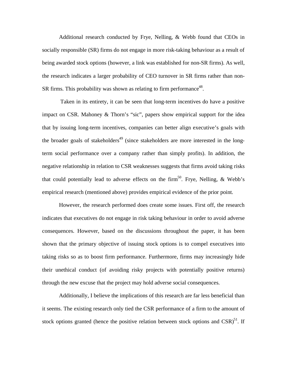Additional research conducted by Frye, Nelling, & Webb found that CEOs in socially responsible (SR) firms do not engage in more risk-taking behaviour as a result of being awarded stock options (however, a link was established for non-SR firms). As well, the research indicates a larger probability of CEO turnover in SR firms rather than non-SR firms. This probability was shown as relating to firm performance<sup>48</sup>.

 Taken in its entirety, it can be seen that long-term incentives do have a positive impact on CSR. Mahoney & Thorn's "sic", papers show empirical support for the idea that by issuing long-term incentives, companies can better align executive's goals with the broader goals of stakeholders<sup>49</sup> (since stakeholders are more interested in the longterm social performance over a company rather than simply profits). In addition, the negative relationship in relation to CSR weaknesses suggests that firms avoid taking risks that could potentially lead to adverse effects on the firm<sup>50</sup>. Frye, Nelling,  $\&$  Webb's empirical research (mentioned above) provides empirical evidence of the prior point.

 However, the research performed does create some issues. First off, the research indicates that executives do not engage in risk taking behaviour in order to avoid adverse consequences. However, based on the discussions throughout the paper, it has been shown that the primary objective of issuing stock options is to compel executives into taking risks so as to boost firm performance. Furthermore, firms may increasingly hide their unethical conduct (of avoiding risky projects with potentially positive returns) through the new excuse that the project may hold adverse social consequences.

 Additionally, I believe the implications of this research are far less beneficial than it seems. The existing research only tied the CSR performance of a firm to the amount of stock options granted (hence the positive relation between stock options and  $CSR$ )<sup>51</sup>. If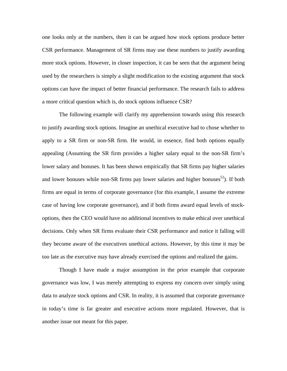one looks only at the numbers, then it can be argued how stock options produce better CSR performance. Management of SR firms may use these numbers to justify awarding more stock options. However, in closer inspection, it can be seen that the argument being used by the researchers is simply a slight modification to the existing argument that stock options can have the impact of better financial performance. The research fails to address a more critical question which is, do stock options influence CSR?

The following example will clarify my apprehension towards using this research to justify awarding stock options. Imagine an unethical executive had to chose whether to apply to a SR firm or non-SR firm. He would, in essence, find both options equally appealing (Assuming the SR firm provides a higher salary equal to the non-SR firm's lower salary and bonuses. It has been shown empirically that SR firms pay higher salaries and lower bonuses while non-SR firms pay lower salaries and higher bonuses<sup>52</sup>). If both firms are equal in terms of corporate governance (for this example, I assume the extreme case of having low corporate governance), and if both firms award equal levels of stockoptions, then the CEO would have no additional incentives to make ethical over unethical decisions. Only when SR firms evaluate their CSR performance and notice it falling will they become aware of the executives unethical actions. However, by this time it may be too late as the executive may have already exercised the options and realized the gains.

Though I have made a major assumption in the prior example that corporate governance was low, I was merely attempting to express my concern over simply using data to analyze stock options and CSR. In reality, it is assumed that corporate governance in today's time is far greater and executive actions more regulated. However, that is another issue not meant for this paper.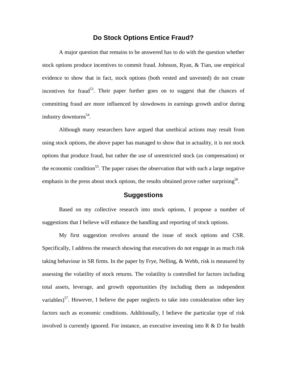# **Do Stock Options Entice Fraud?**

 A major question that remains to be answered has to do with the question whether stock options produce incentives to commit fraud. Johnson, Ryan, & Tian, use empirical evidence to show that in fact, stock options (both vested and unvested) do not create incentives for fraud<sup>53</sup>. Their paper further goes on to suggest that the chances of committing fraud are more influenced by slowdowns in earnings growth and/or during industry downturns<sup>54</sup>.

 Although many researchers have argued that unethical actions may result from using stock options, the above paper has managed to show that in actuality, it is not stock options that produce fraud, but rather the use of unrestricted stock (as compensation) or the economic condition<sup>55</sup>. The paper raises the observation that with such a large negative emphasis in the press about stock options, the results obtained prove rather surprising<sup>56</sup>.

## **Suggestions**

 Based on my collective research into stock options, I propose a number of suggestions that I believe will enhance the handling and reporting of stock options.

 My first suggestion revolves around the issue of stock options and CSR. Specifically, I address the research showing that executives do not engage in as much risk taking behaviour in SR firms. In the paper by Frye, Nelling, & Webb, risk is measured by assessing the volatility of stock returns. The volatility is controlled for factors including total assets, leverage, and growth opportunities (by including them as independent variables)<sup>57</sup>. However, I believe the paper neglects to take into consideration other key factors such as economic conditions. Additionally, I believe the particular type of risk involved is currently ignored. For instance, an executive investing into  $R \& D$  for health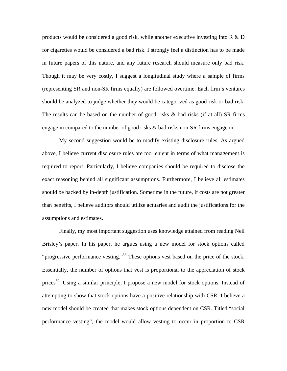products would be considered a good risk, while another executive investing into  $R \& D$ for cigarettes would be considered a bad risk. I strongly feel a distinction has to be made in future papers of this nature, and any future research should measure only bad risk. Though it may be very costly, I suggest a longitudinal study where a sample of firms (representing SR and non-SR firms equally) are followed overtime. Each firm's ventures should be analyzed to judge whether they would be categorized as good risk or bad risk. The results can be based on the number of good risks  $\&$  bad risks (if at all) SR firms engage in compared to the number of good risks  $\&$  bad risks non-SR firms engage in.

 My second suggestion would be to modify existing disclosure rules. As argued above, I believe current disclosure rules are too lenient in terms of what management is required to report. Particularly, I believe companies should be required to disclose the exact reasoning behind all significant assumptions. Furthermore, I believe all estimates should be backed by in-depth justification. Sometime in the future, if costs are not greater than benefits, I believe auditors should utilize actuaries and audit the justifications for the assumptions and estimates.

Finally, my most important suggestion uses knowledge attained from reading Neil Brisley's paper. In his paper, he argues using a new model for stock options called "progressive performance vesting."<sup>58</sup> These options vest based on the price of the stock. Essentially, the number of options that vest is proportional to the appreciation of stock prices<sup>59</sup>. Using a similar principle, I propose a new model for stock options. Instead of attempting to show that stock options have a positive relationship with CSR, I believe a new model should be created that makes stock options dependent on CSR. Titled "social performance vesting", the model would allow vesting to occur in proportion to CSR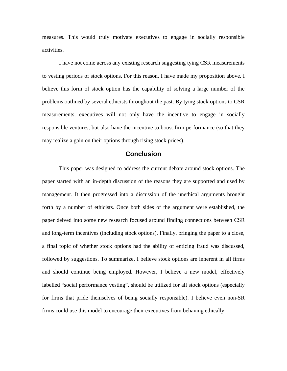measures. This would truly motivate executives to engage in socially responsible activities.

 I have not come across any existing research suggesting tying CSR measurements to vesting periods of stock options. For this reason, I have made my proposition above. I believe this form of stock option has the capability of solving a large number of the problems outlined by several ethicists throughout the past. By tying stock options to CSR measurements, executives will not only have the incentive to engage in socially responsible ventures, but also have the incentive to boost firm performance (so that they may realize a gain on their options through rising stock prices).

## **Conclusion**

 This paper was designed to address the current debate around stock options. The paper started with an in-depth discussion of the reasons they are supported and used by management. It then progressed into a discussion of the unethical arguments brought forth by a number of ethicists. Once both sides of the argument were established, the paper delved into some new research focused around finding connections between CSR and long-term incentives (including stock options). Finally, bringing the paper to a close, a final topic of whether stock options had the ability of enticing fraud was discussed, followed by suggestions. To summarize, I believe stock options are inherent in all firms and should continue being employed. However, I believe a new model, effectively labelled "social performance vesting", should be utilized for all stock options (especially for firms that pride themselves of being socially responsible). I believe even non-SR firms could use this model to encourage their executives from behaving ethically.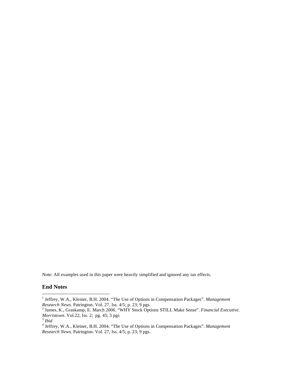Note: All examples used in this paper were heavily simplified and ignored any tax effects.

# **End Notes**

 1 Jeffrey, W.A., Kleiner, B.H. 2004. "The Use of Options in Compensation Packages". *Management* 

*Research News.* Patrington. Vol. 27, Iss. 4/5; p. 23; 9 pgs. <sup>2</sup> James, K., Graskamp, E. March 2006. "WHY Stock Options STILL Make Sense". *Financial Executive. Morristown*. Vol.22, Iss. 2; pg. 45; 3 pgs 3 *Ibid*

<sup>4</sup> Jeffrey, W.A., Kleiner, B.H. 2004. "The Use of Options in Compensation Packages". *Management Research News.* Patrington. Vol. 27, Iss. 4/5; p. 23; 9 pgs.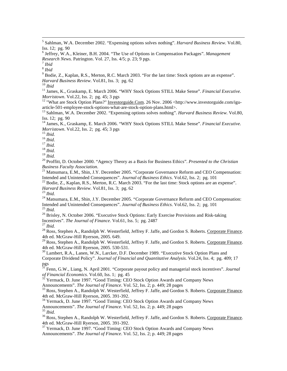5 Sahlman, W.A. December 2002. "Expensing options solves nothing". *Harvard Business Review*. Vol.80, Iss. 12; pg. 90

6 Jeffrey, W.A., Kleiner, B.H. 2004. "The Use of Options in Compensation Packages". *Management Research News.* Patrington. Vol. 27, Iss. 4/5; p. 23; 9 pgs. 7 *Ibid*

<sup>8</sup> *Ibid*

<sup>9</sup> Bodie, Z., Kaplan, R.S., Merton, R.C. March 2003. "For the last time: Stock options are an expense". *Harvard Business Review.* Vol.81, Iss. 3; pg. 62<br><sup>10</sup> *Ibid* 11 James, K., Graskamp, E. March 2006. "WHY Stock Options STILL Make Sense". *Financial Executive.* 

*Morristown*. Vol.22, Iss. 2; pg. 45; 3 pgs<br><sup>12</sup> "What are Stock Option Plans?" <u>Investorguide.Com</u>. 26 Nov. 2006 <http://www.investorguide.com/igu-

article-501-employee-stock-options-what-are-stock-option-plans.html>.

13 Sahlman, W.A. December 2002. "Expensing options solves nothing". *Harvard Business Review*. Vol.80, Iss. 12; pg. 90

14 James, K., Graskamp, E. March 2006. "WHY Stock Options STILL Make Sense". *Financial Executive. Morristown.* Vol.22, Iss. 2; pg. 45; 3 pgs<br><sup>15</sup> *Ibid.*<br><sup>16</sup> *Ibid.* <sup>17</sup> *Ibid.* <sup>18</sup> *Ibid.* <sup>18</sup> *Ibid.* <sup>19</sup> *Ibid.* 

<sup>20</sup> Proffitt, D. October 2000. "Agency Theory as a Basis for Business Ethics". *Presented to the Christian Business Faculty Association*.

<sup>21</sup> Matsumara, E.M., Shin, J.Y. December 2005. "Corporate Governance Reform and CEO Compensation: Intended and Unintended Consequences". *Journal of Business Ethics*. Vol.62, Iss. 2; pg. 101<br><sup>22</sup> Bodie, Z., Kaplan, R.S., Merton, R.C. March 2003. "For the last time: Stock options are an expense".

*Harvard Business Review.* Vol.81, Iss. 3; pg. 62<br><sup>23</sup> *Ibid.* 24 Matsumara, E.M., Shin, J.Y. December 2005. "Corporate Governance Reform and CEO Compensation:<br>Intended and Unintended Consequences". *Journal of Business Et* 

<sup>25</sup> *Ibid.*<br><sup>26</sup> Brisley, N. October 2006. "Executive Stock Options: Early Exercise Provisions and Risk-taking Incentives". *The Journal of Finance*. Vol.61, Iss. 5; pg. 2487

<sup>27</sup> Ibid.<br><sup>28</sup> Ross, Stephen A., Randolph W. Westerfield, Jeffrey F. Jaffe, and Gordon S. Roberts. Corporate Finance. 4th ed. McGraw-Hill Ryerson, 2005. 649.

 $^{29}$  Ross, Stephen A., Randolph W. Westerfield, Jeffrey F. Jaffe, and Gordon S. Roberts. Corporate Finance. 4th ed. McGraw-Hill Ryerson, 2005. 530-531.

<sup>30</sup> Lambert, R.A., Lanen, W.N., Larcker, D.F. December 1989. "Executive Stock Option Plans and Corporate Dividend Policy". *Journal of Financial and Quantitative Analysis*. Vol.24, Iss. 4; pg. 409; 17 pgs

31 Fenn, G.W., Liang, N. April 2001. "Corporate payout policy and managerial stock incentives". *Journal of Financial Economics*. Vol.60, Iss. 1; pg. 45<br><sup>32</sup> Yermack, D. June 1997. "Good Timing: CEO Stock Option Awards and Company News

Announcements". *The Journal of Finance*. Vol. 52, Iss. 2; p. 449; 28 pages 33 Ross, Stephen A., Randolph W. Westerfield, Jeffrey F. Jaffe, and Gordon S. Roberts. Corporate Finance. 4th ed. McGraw-Hill Ryerson, 2005. 391-392.

<sup>34</sup> Yermack, D. June 1997. "Good Timing: CEO Stock Option Awards and Company News Announcements". *The Journal of Finance*. Vol. 52, Iss. 2; p. 449; 28 pages

<sup>35</sup> Ibid.<br><sup>36</sup> Ross, Stephen A., Randolph W. Westerfield, Jeffrey F. Jaffe, and Gordon S. Roberts. Corporate Finance. 4th ed. McGraw-Hill Ryerson, 2005. 391-392.

<sup>37</sup> Yermack, D. June 1997. "Good Timing: CEO Stock Option Awards and Company News Announcements". *The Journal of Finance*. Vol. 52, Iss. 2; p. 449; 28 pages